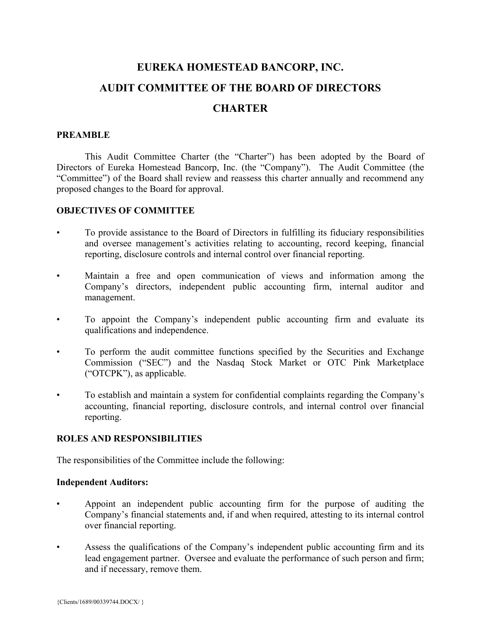# **EUREKA HOMESTEAD BANCORP, INC. AUDIT COMMITTEE OF THE BOARD OF DIRECTORS CHARTER**

## **PREAMBLE**

This Audit Committee Charter (the "Charter") has been adopted by the Board of Directors of Eureka Homestead Bancorp, Inc. (the "Company"). The Audit Committee (the "Committee") of the Board shall review and reassess this charter annually and recommend any proposed changes to the Board for approval.

### **OBJECTIVES OF COMMITTEE**

- To provide assistance to the Board of Directors in fulfilling its fiduciary responsibilities and oversee management's activities relating to accounting, record keeping, financial reporting, disclosure controls and internal control over financial reporting.
- Maintain a free and open communication of views and information among the Company's directors, independent public accounting firm, internal auditor and management.
- To appoint the Company's independent public accounting firm and evaluate its qualifications and independence.
- To perform the audit committee functions specified by the Securities and Exchange Commission ("SEC") and the Nasdaq Stock Market or OTC Pink Marketplace ("OTCPK"), as applicable.
- To establish and maintain a system for confidential complaints regarding the Company's accounting, financial reporting, disclosure controls, and internal control over financial reporting.

#### **ROLES AND RESPONSIBILITIES**

The responsibilities of the Committee include the following:

#### **Independent Auditors:**

- Appoint an independent public accounting firm for the purpose of auditing the Company's financial statements and, if and when required, attesting to its internal control over financial reporting.
- Assess the qualifications of the Company's independent public accounting firm and its lead engagement partner. Oversee and evaluate the performance of such person and firm; and if necessary, remove them.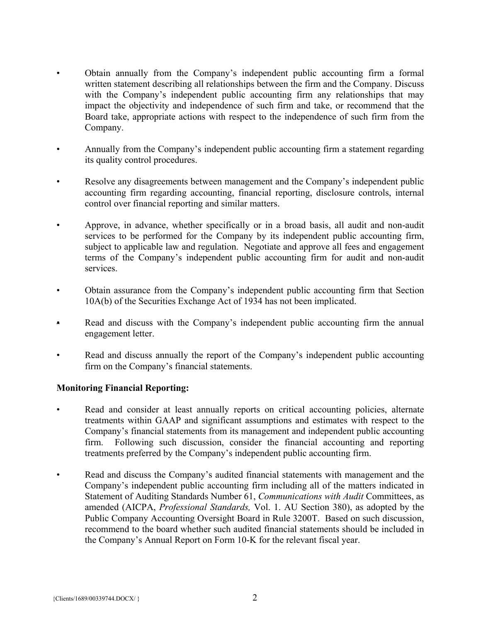- Obtain annually from the Company's independent public accounting firm a formal written statement describing all relationships between the firm and the Company. Discuss with the Company's independent public accounting firm any relationships that may impact the objectivity and independence of such firm and take, or recommend that the Board take, appropriate actions with respect to the independence of such firm from the Company.
- Annually from the Company's independent public accounting firm a statement regarding its quality control procedures.
- Resolve any disagreements between management and the Company's independent public accounting firm regarding accounting, financial reporting, disclosure controls, internal control over financial reporting and similar matters.
- Approve, in advance, whether specifically or in a broad basis, all audit and non-audit services to be performed for the Company by its independent public accounting firm, subject to applicable law and regulation. Negotiate and approve all fees and engagement terms of the Company's independent public accounting firm for audit and non-audit services.
- Obtain assurance from the Company's independent public accounting firm that Section 10A(b) of the Securities Exchange Act of 1934 has not been implicated.
- Read and discuss with the Company's independent public accounting firm the annual engagement letter.
- Read and discuss annually the report of the Company's independent public accounting firm on the Company's financial statements.

# **Monitoring Financial Reporting:**

- Read and consider at least annually reports on critical accounting policies, alternate treatments within GAAP and significant assumptions and estimates with respect to the Company's financial statements from its management and independent public accounting firm. Following such discussion, consider the financial accounting and reporting treatments preferred by the Company's independent public accounting firm.
- Read and discuss the Company's audited financial statements with management and the Company's independent public accounting firm including all of the matters indicated in Statement of Auditing Standards Number 61, *Communications with Audit* Committees, as amended (AICPA, *Professional Standards,* Vol. 1. AU Section 380), as adopted by the Public Company Accounting Oversight Board in Rule 3200T. Based on such discussion, recommend to the board whether such audited financial statements should be included in the Company's Annual Report on Form 10-K for the relevant fiscal year.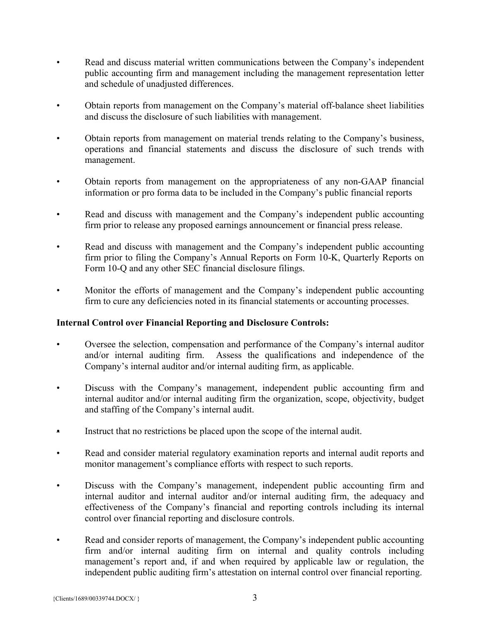- Read and discuss material written communications between the Company's independent public accounting firm and management including the management representation letter and schedule of unadjusted differences.
- Obtain reports from management on the Company's material off-balance sheet liabilities and discuss the disclosure of such liabilities with management.
- Obtain reports from management on material trends relating to the Company's business, operations and financial statements and discuss the disclosure of such trends with management.
- Obtain reports from management on the appropriateness of any non-GAAP financial information or pro forma data to be included in the Company's public financial reports
- Read and discuss with management and the Company's independent public accounting firm prior to release any proposed earnings announcement or financial press release.
- Read and discuss with management and the Company's independent public accounting firm prior to filing the Company's Annual Reports on Form 10-K, Quarterly Reports on Form 10-Q and any other SEC financial disclosure filings.
- Monitor the efforts of management and the Company's independent public accounting firm to cure any deficiencies noted in its financial statements or accounting processes.

## **Internal Control over Financial Reporting and Disclosure Controls:**

- Oversee the selection, compensation and performance of the Company's internal auditor and/or internal auditing firm. Assess the qualifications and independence of the Company's internal auditor and/or internal auditing firm, as applicable.
- Discuss with the Company's management, independent public accounting firm and internal auditor and/or internal auditing firm the organization, scope, objectivity, budget and staffing of the Company's internal audit.
- Instruct that no restrictions be placed upon the scope of the internal audit.
- Read and consider material regulatory examination reports and internal audit reports and monitor management's compliance efforts with respect to such reports.
- Discuss with the Company's management, independent public accounting firm and internal auditor and internal auditor and/or internal auditing firm, the adequacy and effectiveness of the Company's financial and reporting controls including its internal control over financial reporting and disclosure controls.
- Read and consider reports of management, the Company's independent public accounting firm and/or internal auditing firm on internal and quality controls including management's report and, if and when required by applicable law or regulation, the independent public auditing firm's attestation on internal control over financial reporting.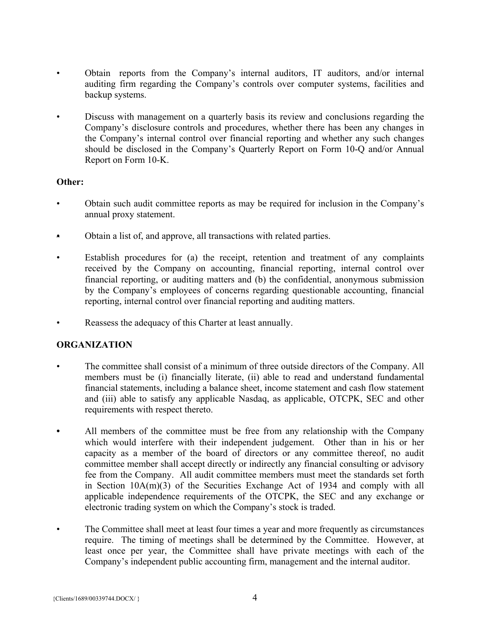- Obtain reports from the Company's internal auditors, IT auditors, and/or internal auditing firm regarding the Company's controls over computer systems, facilities and backup systems.
- Discuss with management on a quarterly basis its review and conclusions regarding the Company's disclosure controls and procedures, whether there has been any changes in the Company's internal control over financial reporting and whether any such changes should be disclosed in the Company's Quarterly Report on Form 10-Q and/or Annual Report on Form 10-K.

## **Other:**

- Obtain such audit committee reports as may be required for inclusion in the Company's annual proxy statement.
- Obtain a list of, and approve, all transactions with related parties.
- Establish procedures for (a) the receipt, retention and treatment of any complaints received by the Company on accounting, financial reporting, internal control over financial reporting, or auditing matters and (b) the confidential, anonymous submission by the Company's employees of concerns regarding questionable accounting, financial reporting, internal control over financial reporting and auditing matters.
- Reassess the adequacy of this Charter at least annually.

# **ORGANIZATION**

- The committee shall consist of a minimum of three outside directors of the Company. All members must be (i) financially literate, (ii) able to read and understand fundamental financial statements, including a balance sheet, income statement and cash flow statement and (iii) able to satisfy any applicable Nasdaq, as applicable, OTCPK, SEC and other requirements with respect thereto.
- All members of the committee must be free from any relationship with the Company which would interfere with their independent judgement. Other than in his or her capacity as a member of the board of directors or any committee thereof, no audit committee member shall accept directly or indirectly any financial consulting or advisory fee from the Company. All audit committee members must meet the standards set forth in Section 10A(m)(3) of the Securities Exchange Act of 1934 and comply with all applicable independence requirements of the OTCPK, the SEC and any exchange or electronic trading system on which the Company's stock is traded.
- The Committee shall meet at least four times a year and more frequently as circumstances require. The timing of meetings shall be determined by the Committee. However, at least once per year, the Committee shall have private meetings with each of the Company's independent public accounting firm, management and the internal auditor.